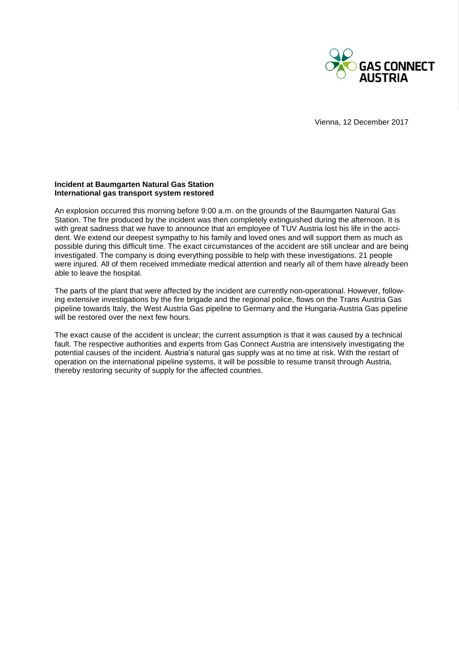

Vienna, 12 December 2017

## **Incident at Baumgarten Natural Gas Station International gas transport system restored**

An explosion occurred this morning before 9:00 a.m. on the grounds of the Baumgarten Natural Gas Station. The fire produced by the incident was then completely extinguished during the afternoon. It is with great sadness that we have to announce that an employee of TUV Austria lost his life in the accident. We extend our deepest sympathy to his family and loved ones and will support them as much as possible during this difficult time. The exact circumstances of the accident are still unclear and are being investigated. The company is doing everything possible to help with these investigations. 21 people were injured. All of them received immediate medical attention and nearly all of them have already been able to leave the hospital.

The parts of the plant that were affected by the incident are currently non-operational. However, following extensive investigations by the fire brigade and the regional police, flows on the Trans Austria Gas pipeline towards Italy, the West Austria Gas pipeline to Germany and the Hungaria-Austria Gas pipeline will be restored over the next few hours.

The exact cause of the accident is unclear; the current assumption is that it was caused by a technical fault. The respective authorities and experts from Gas Connect Austria are intensively investigating the potential causes of the incident. Austria's natural gas supply was at no time at risk. With the restart of operation on the international pipeline systems, it will be possible to resume transit through Austria, thereby restoring security of supply for the affected countries.